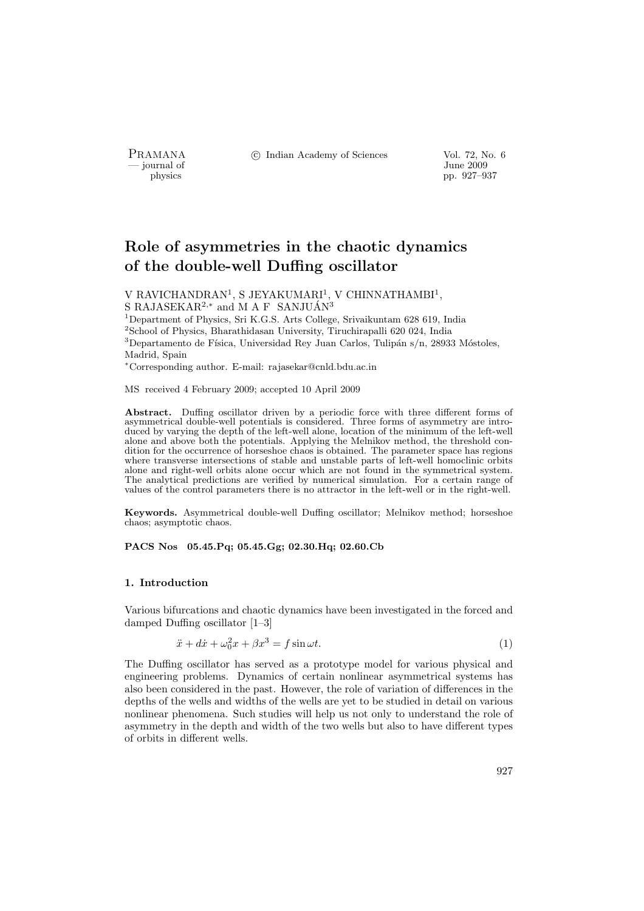- journal of<br>physics

PRAMANA <sup>©</sup>© Indian Academy of Sciences Vol. 72, No. 6<br>
— journal of Unne 2009

physics pp. 927–937

# Role of asymmetries in the chaotic dynamics of the double-well Duffing oscillator

V RAVICHANDRAN<sup>1</sup>, S JEYAKUMARI<sup>1</sup>, V CHINNATHAMBI<sup>1</sup>, S RAJASEKAR<sup>2,\*</sup> and M A F SANJUÁN<sup>3</sup>

Department of Physics, Sri K.G.S. Arts College, Srivaikuntam 628 619, India School of Physics, Bharathidasan University, Tiruchirapalli 620 024, India Departamento de Física, Universidad Rey Juan Carlos, Tulipán s/n, 28933 Móstoles, Madrid, Spain

<sup>∗</sup>Corresponding author. E-mail: rajasekar@cnld.bdu.ac.in

MS received 4 February 2009; accepted 10 April 2009

Abstract. Duffing oscillator driven by a periodic force with three different forms of asymmetrical double-well potentials is considered. Three forms of asymmetry are introduced by varying the depth of the left-well alone, location of the minimum of the left-well alone and above both the potentials. Applying the Melnikov method, the threshold condition for the occurrence of horseshoe chaos is obtained. The parameter space has regions where transverse intersections of stable and unstable parts of left-well homoclinic orbits alone and right-well orbits alone occur which are not found in the symmetrical system. The analytical predictions are verified by numerical simulation. For a certain range of values of the control parameters there is no attractor in the left-well or in the right-well.

Keywords. Asymmetrical double-well Duffing oscillator; Melnikov method; horseshoe chaos; asymptotic chaos.

## PACS Nos 05.45.Pq; 05.45.Gg; 02.30.Hq; 02.60.Cb

# 1. Introduction

Various bifurcations and chaotic dynamics have been investigated in the forced and damped Duffing oscillator [1–3]

$$
\ddot{x} + d\dot{x} + \omega_0^2 x + \beta x^3 = f \sin \omega t. \tag{1}
$$

The Duffing oscillator has served as a prototype model for various physical and engineering problems. Dynamics of certain nonlinear asymmetrical systems has also been considered in the past. However, the role of variation of differences in the depths of the wells and widths of the wells are yet to be studied in detail on various nonlinear phenomena. Such studies will help us not only to understand the role of asymmetry in the depth and width of the two wells but also to have different types of orbits in different wells.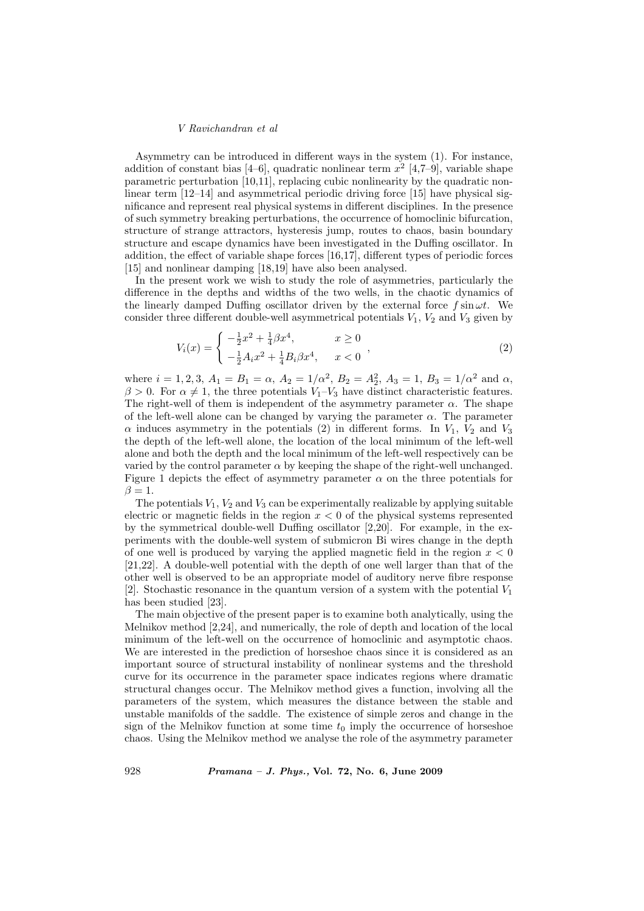Asymmetry can be introduced in different ways in the system (1). For instance, addition of constant bias [4–6], quadratic nonlinear term  $x^2$  [4,7–9], variable shape parametric perturbation [10,11], replacing cubic nonlinearity by the quadratic nonlinear term [12–14] and asymmetrical periodic driving force [15] have physical significance and represent real physical systems in different disciplines. In the presence of such symmetry breaking perturbations, the occurrence of homoclinic bifurcation, structure of strange attractors, hysteresis jump, routes to chaos, basin boundary structure and escape dynamics have been investigated in the Duffing oscillator. In addition, the effect of variable shape forces [16,17], different types of periodic forces [15] and nonlinear damping [18,19] have also been analysed.

In the present work we wish to study the role of asymmetries, particularly the difference in the depths and widths of the two wells, in the chaotic dynamics of the linearly damped Duffing oscillator driven by the external force  $f \sin \omega t$ . We consider three different double-well asymmetrical potentials  $V_1$ ,  $V_2$  and  $V_3$  given by

$$
V_i(x) = \begin{cases} -\frac{1}{2}x^2 + \frac{1}{4}\beta x^4, & x \ge 0\\ -\frac{1}{2}A_i x^2 + \frac{1}{4}B_i \beta x^4, & x < 0 \end{cases}
$$
 (2)

where  $i = 1, 2, 3, A_1 = B_1 = \alpha, A_2 = 1/\alpha^2, B_2 = A_2^2, A_3 = 1, B_3 = 1/\alpha^2$  and  $\alpha$ ,  $\beta > 0$ . For  $\alpha \neq 1$ , the three potentials  $V_1 - V_3$  have distinct characteristic features. The right-well of them is independent of the asymmetry parameter  $\alpha$ . The shape of the left-well alone can be changed by varying the parameter  $\alpha$ . The parameter  $\alpha$  induces asymmetry in the potentials (2) in different forms. In  $V_1$ ,  $V_2$  and  $V_3$ the depth of the left-well alone, the location of the local minimum of the left-well alone and both the depth and the local minimum of the left-well respectively can be varied by the control parameter  $\alpha$  by keeping the shape of the right-well unchanged. Figure 1 depicts the effect of asymmetry parameter  $\alpha$  on the three potentials for  $\beta = 1$ .

The potentials  $V_1$ ,  $V_2$  and  $V_3$  can be experimentally realizable by applying suitable electric or magnetic fields in the region  $x < 0$  of the physical systems represented by the symmetrical double-well Duffing oscillator [2,20]. For example, in the experiments with the double-well system of submicron Bi wires change in the depth of one well is produced by varying the applied magnetic field in the region  $x < 0$ [21,22]. A double-well potential with the depth of one well larger than that of the other well is observed to be an appropriate model of auditory nerve fibre response [2]. Stochastic resonance in the quantum version of a system with the potential  $V_1$ has been studied [23].

The main objective of the present paper is to examine both analytically, using the Melnikov method [2,24], and numerically, the role of depth and location of the local minimum of the left-well on the occurrence of homoclinic and asymptotic chaos. We are interested in the prediction of horseshoe chaos since it is considered as an important source of structural instability of nonlinear systems and the threshold curve for its occurrence in the parameter space indicates regions where dramatic structural changes occur. The Melnikov method gives a function, involving all the parameters of the system, which measures the distance between the stable and unstable manifolds of the saddle. The existence of simple zeros and change in the sign of the Melnikov function at some time  $t_0$  imply the occurrence of horseshoe chaos. Using the Melnikov method we analyse the role of the asymmetry parameter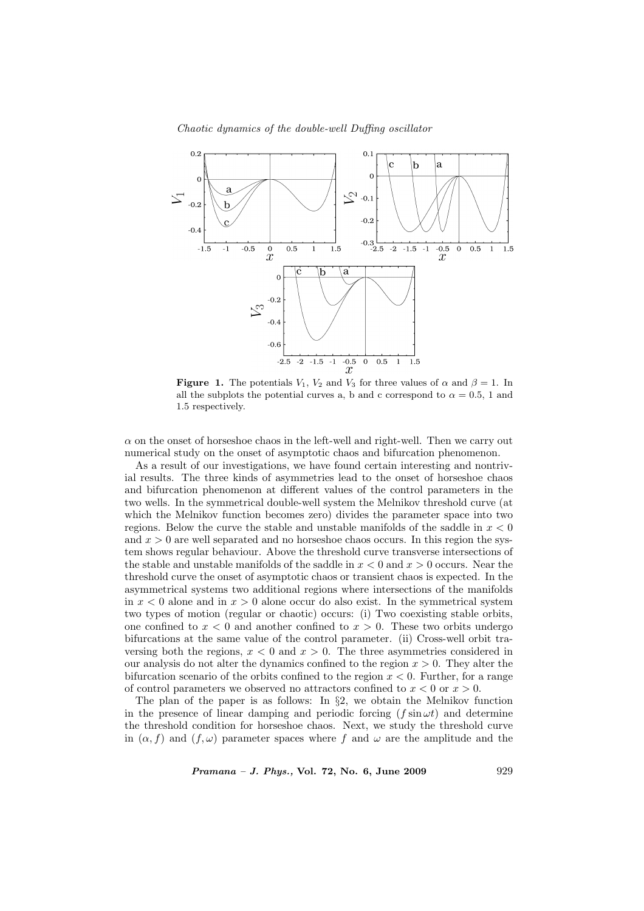Chaotic dynamics of the double-well Duffing oscillator



**Figure 1.** The potentials  $V_1$ ,  $V_2$  and  $V_3$  for three values of  $\alpha$  and  $\beta = 1$ . In all the subplots the potential curves a, b and c correspond to  $\alpha = 0.5$ , 1 and 1.5 respectively.

 $\alpha$  on the onset of horseshoe chaos in the left-well and right-well. Then we carry out numerical study on the onset of asymptotic chaos and bifurcation phenomenon.

As a result of our investigations, we have found certain interesting and nontrivial results. The three kinds of asymmetries lead to the onset of horseshoe chaos and bifurcation phenomenon at different values of the control parameters in the two wells. In the symmetrical double-well system the Melnikov threshold curve (at which the Melnikov function becomes zero) divides the parameter space into two regions. Below the curve the stable and unstable manifolds of the saddle in  $x < 0$ and  $x > 0$  are well separated and no horseshoe chaos occurs. In this region the system shows regular behaviour. Above the threshold curve transverse intersections of the stable and unstable manifolds of the saddle in  $x < 0$  and  $x > 0$  occurs. Near the threshold curve the onset of asymptotic chaos or transient chaos is expected. In the asymmetrical systems two additional regions where intersections of the manifolds in  $x < 0$  alone and in  $x > 0$  alone occur do also exist. In the symmetrical system two types of motion (regular or chaotic) occurs: (i) Two coexisting stable orbits, one confined to  $x < 0$  and another confined to  $x > 0$ . These two orbits undergo bifurcations at the same value of the control parameter. (ii) Cross-well orbit traversing both the regions,  $x < 0$  and  $x > 0$ . The three asymmetries considered in our analysis do not alter the dynamics confined to the region  $x > 0$ . They alter the bifurcation scenario of the orbits confined to the region  $x < 0$ . Further, for a range of control parameters we observed no attractors confined to  $x < 0$  or  $x > 0$ .

The plan of the paper is as follows: In  $\S$ 2, we obtain the Melnikov function in the presence of linear damping and periodic forcing  $(f \sin \omega t)$  and determine the threshold condition for horseshoe chaos. Next, we study the threshold curve in  $(\alpha, f)$  and  $(f, \omega)$  parameter spaces where f and  $\omega$  are the amplitude and the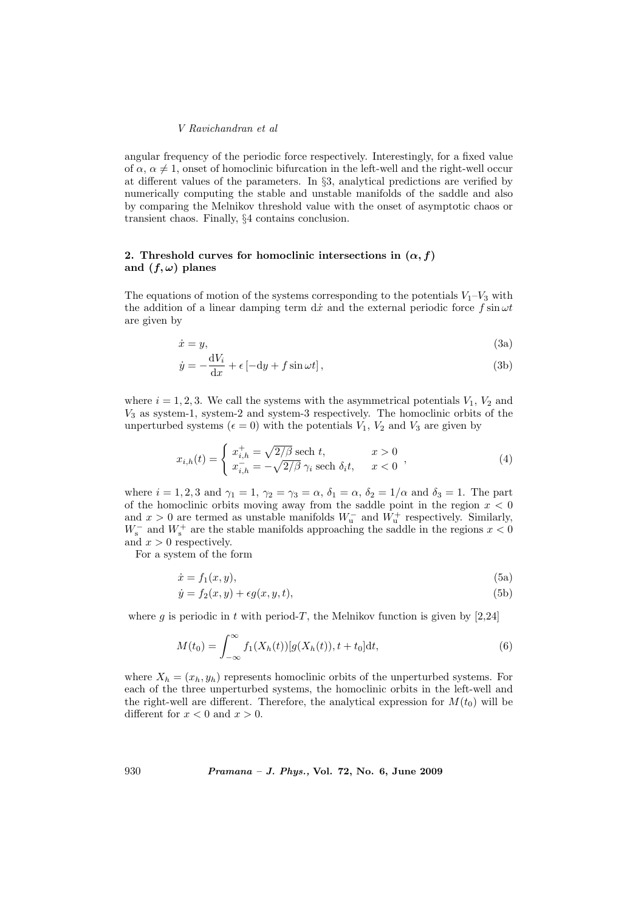angular frequency of the periodic force respectively. Interestingly, for a fixed value of  $\alpha$ ,  $\alpha \neq 1$ , onset of homoclinic bifurcation in the left-well and the right-well occur at different values of the parameters. In §3, analytical predictions are verified by numerically computing the stable and unstable manifolds of the saddle and also by comparing the Melnikov threshold value with the onset of asymptotic chaos or transient chaos. Finally, §4 contains conclusion.

# 2. Threshold curves for homoclinic intersections in  $(\alpha, f)$ and  $(f, \omega)$  planes

The equations of motion of the systems corresponding to the potentials  $V_1-V_3$  with the addition of a linear damping term dx and the external periodic force  $f \sin \omega t$ are given by

$$
\dot{x} = y,\tag{3a}
$$

$$
\dot{y} = -\frac{\mathrm{d}V_i}{\mathrm{d}x} + \epsilon \left[ -\mathrm{d}y + f\sin\omega t \right],\tag{3b}
$$

where  $i = 1, 2, 3$ . We call the systems with the asymmetrical potentials  $V_1$ ,  $V_2$  and  $V_3$  as system-1, system-2 and system-3 respectively. The homoclinic orbits of the unperturbed systems ( $\epsilon = 0$ ) with the potentials  $V_1$ ,  $V_2$  and  $V_3$  are given by

$$
x_{i,h}(t) = \begin{cases} x_{i,h}^+ = \sqrt{2/\beta} \text{ sech } t, & x > 0\\ x_{i,h}^- = -\sqrt{2/\beta} \gamma_i \text{ sech } \delta_i t, & x < 0 \end{cases},
$$
\n(4)

where  $i = 1, 2, 3$  and  $\gamma_1 = 1$ ,  $\gamma_2 = \gamma_3 = \alpha$ ,  $\delta_1 = \alpha$ ,  $\delta_2 = 1/\alpha$  and  $\delta_3 = 1$ . The part of the homoclinic orbits moving away from the saddle point in the region  $x < 0$ and  $x > 0$  are termed as unstable manifolds  $W_u^-$  and  $W_u^+$  respectively. Similarly,  $W_{\rm s}^-$  and  $W_{\rm s}^+$  are the stable manifolds approaching the saddle in the regions  $x < 0$ and  $x > 0$  respectively.

For a system of the form

$$
\dot{x} = f_1(x, y),\tag{5a}
$$

$$
\dot{y} = f_2(x, y) + \epsilon g(x, y, t),\tag{5b}
$$

where g is periodic in t with period-T, the Melnikov function is given by  $[2,24]$ 

$$
M(t_0) = \int_{-\infty}^{\infty} f_1(X_h(t)) [g(X_h(t)), t + t_0] dt,
$$
\n(6)

where  $X_h = (x_h, y_h)$  represents homoclinic orbits of the unperturbed systems. For each of the three unperturbed systems, the homoclinic orbits in the left-well and the right-well are different. Therefore, the analytical expression for  $M(t_0)$  will be different for  $x < 0$  and  $x > 0$ .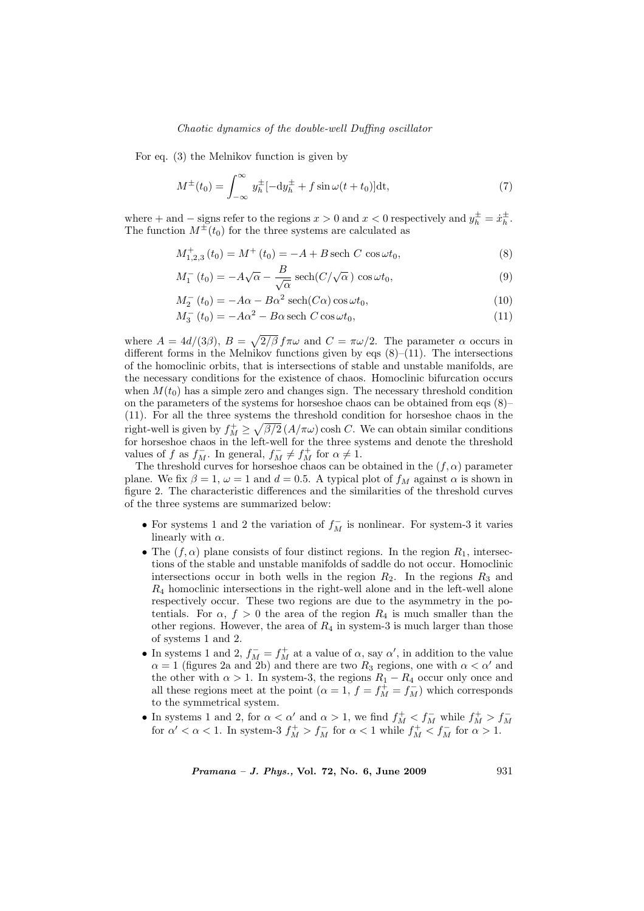## Chaotic dynamics of the double-well Duffing oscillator

For eq. (3) the Melnikov function is given by

$$
M^{\pm}(t_0) = \int_{-\infty}^{\infty} y_h^{\pm} [-\mathrm{d}y_h^{\pm} + f \sin \omega (t + t_0)] \mathrm{dt},\tag{7}
$$

where + and – signs refer to the regions  $x > 0$  and  $x < 0$  respectively and  $y_h^{\pm} = \dot{x}_h^{\pm}$ . The function  $M^{\pm}(t_0)$  for the three systems are calculated as

$$
M_{1,2,3}^{+}(t_0) = M^{+}(t_0) = -A + B \operatorname{sech} C \cos \omega t_0, \tag{8}
$$

$$
M_1^-(t_0) = -A\sqrt{\alpha} - \frac{B}{\sqrt{\alpha}} \operatorname{sech}(C/\sqrt{\alpha}) \cos \omega t_0, \tag{9}
$$

$$
M_2^-(t_0) = -A\alpha - B\alpha^2 \operatorname{sech}(C\alpha) \cos \omega t_0, \tag{10}
$$

$$
M_3^- (t_0) = -A\alpha^2 - B\alpha \operatorname{sech} C \cos \omega t_0, \tag{11}
$$

where  $A = 4d/(3\beta), B =$ p  $2/\beta f \pi \omega$  and  $C = \pi \omega/2$ . The parameter  $\alpha$  occurs in different forms in the Melnikov functions given by eqs  $(8)$ – $(11)$ . The intersections of the homoclinic orbits, that is intersections of stable and unstable manifolds, are the necessary conditions for the existence of chaos. Homoclinic bifurcation occurs when  $M(t_0)$  has a simple zero and changes sign. The necessary threshold condition on the parameters of the systems for horseshoe chaos can be obtained from eqs (8)– (11). For all the three systems the threshold condition for horseshoe chaos in the right-well is given by  $f_M^+ \geq$ en  $\beta/2$  ( $A/\pi\omega$ ) cosh C. We can obtain similar conditions for horseshoe chaos in the left-well for the three systems and denote the threshold values of f as  $f_M^-$ . In general,  $f_M^- \neq f_M^+$  for  $\alpha \neq 1$ .

The threshold curves for horseshoe chaos can be obtained in the  $(f, \alpha)$  parameter plane. We fix  $\beta = 1$ ,  $\omega = 1$  and  $d = 0.5$ . A typical plot of  $f_M$  against  $\alpha$  is shown in figure 2. The characteristic differences and the similarities of the threshold curves of the three systems are summarized below:

- For systems 1 and 2 the variation of  $f_M^-$  is nonlinear. For system-3 it varies linearly with  $\alpha$ .
- The  $(f, \alpha)$  plane consists of four distinct regions. In the region  $R_1$ , intersections of the stable and unstable manifolds of saddle do not occur. Homoclinic intersections occur in both wells in the region  $R_2$ . In the regions  $R_3$  and  $R_4$  homoclinic intersections in the right-well alone and in the left-well alone respectively occur. These two regions are due to the asymmetry in the potentials. For  $\alpha$ ,  $f > 0$  the area of the region  $R_4$  is much smaller than the other regions. However, the area of  $R_4$  in system-3 is much larger than those of systems 1 and 2.
- In systems 1 and 2,  $f_M^- = f_M^+$  at a value of  $\alpha$ , say  $\alpha'$ , in addition to the value  $\alpha = 1$  (figures 2a and 2b) and there are two  $R_3$  regions, one with  $\alpha < \alpha'$  and the other with  $\alpha > 1$ . In system-3, the regions  $R_1 - R_4$  occur only once and all these regions meet at the point  $(\alpha = 1, f = f_M^{\perp} = f_M^{-})$  which corresponds to the symmetrical system.
- In systems 1 and 2, for  $\alpha < \alpha'$  and  $\alpha > 1$ , we find  $f_M^+ < f_M^-$  while  $f_M^+ > f_M^-$  for  $\alpha' < \alpha < 1$ . In system-3  $f_M^+ > f_M^-$  for  $\alpha < 1$  while  $f_M^+ < f_M^-$  for  $\alpha > 1$ .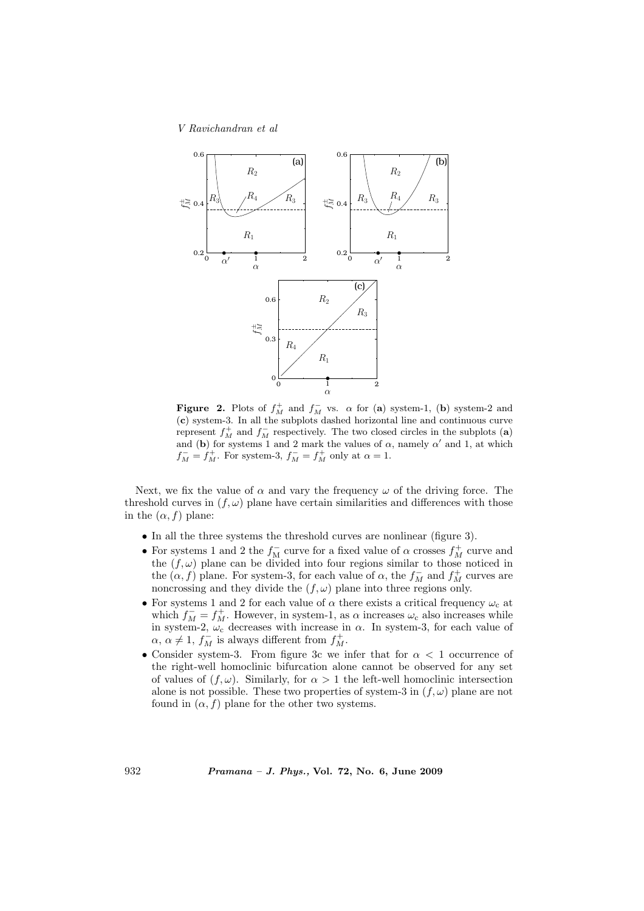

**Figure 2.** Plots of  $f_M^+$  and  $f_M^-$  vs.  $\alpha$  for (a) system-1, (b) system-2 and (c) system-3. In all the subplots dashed horizontal line and continuous curve represent  $f_M^+$  and  $f_M^-$  respectively. The two closed circles in the subplots (a) and (b) for systems 1 and 2 mark the values of  $\alpha$ , namely  $\alpha'$  and 1, at which  $f_M^- = f_M^+$ . For system-3,  $f_M^- = f_M^+$  only at  $\alpha = 1$ .

Next, we fix the value of  $\alpha$  and vary the frequency  $\omega$  of the driving force. The threshold curves in  $(f, \omega)$  plane have certain similarities and differences with those in the  $(\alpha, f)$  plane:

- In all the three systems the threshold curves are nonlinear (figure 3).
- $\bullet$  For systems 1 and 2 the  $f_{\rm M}^-$  curve for a fixed value of  $\alpha$  crosses  $f_{\rm M}^+$  curve and the  $(f, \omega)$  plane can be divided into four regions similar to those noticed in the  $(\alpha, f)$  plane. For system-3, for each value of  $\alpha$ , the  $f_M^-$  and  $f_M^+$  curves are noncrossing and they divide the  $(f, \omega)$  plane into three regions only.
- $\bullet$  For systems 1 and 2 for each value of  $\alpha$  there exists a critical frequency  $\omega_{\rm c}$  at which  $f_M^- = f_M^+$ . However, in system-1, as  $\alpha$  increases  $\omega_c$  also increases while in system-2,  $\omega_c$  decreases with increase in  $\alpha$ . In system-3, for each value of  $\alpha, \alpha \neq 1, f_M^{\perp}$  is always different from  $f_M^+$ .
- Consider system-3. From figure 3c we infer that for  $\alpha < 1$  occurrence of the right-well homoclinic bifurcation alone cannot be observed for any set of values of  $(f, \omega)$ . Similarly, for  $\alpha > 1$  the left-well homoclinic intersection alone is not possible. These two properties of system-3 in  $(f, \omega)$  plane are not found in  $(\alpha, f)$  plane for the other two systems.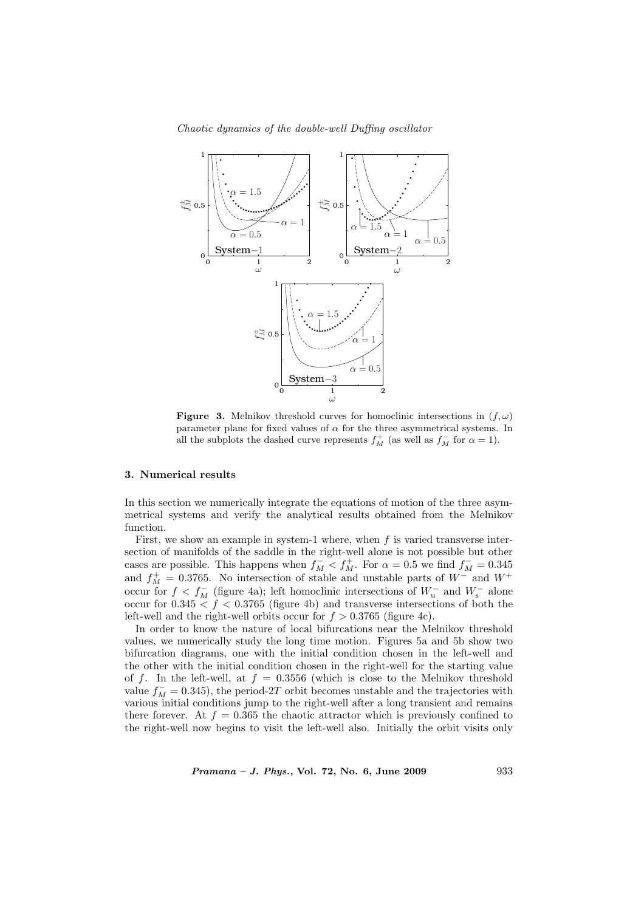Chaotic dynamics of the double-well Duffing oscillator



**Figure 3.** Melnikov threshold curves for homoclinic intersections in  $(f, \omega)$ parameter plane for fixed values of  $\alpha$  for the three asymmetrical systems. In all the subplots the dashed curve represents  $f_M^+$  (as well as  $f_M^-$  for  $\alpha = 1$ ).

#### 3. Numerical results

In this section we numerically integrate the equations of motion of the three asymmetrical systems and verify the analytical results obtained from the Melnikov function.

First, we show an example in system-1 where, when  $f$  is varied transverse intersection of manifolds of the saddle in the right-well alone is not possible but other cases are possible. This happens when  $f_M^-\lt f_M^+$ . For  $\alpha=0.5$  we find  $f_M^-=0.345$ and  $f_M^+ = 0.3765$ . No intersection of stable and unstable parts of  $W^-$  and  $W^+$ occur for  $f < f_M^-$  (figure 4a); left homoclinic intersections of  $W_u^-$  and  $W_s^-$  alone occur for  $0.345 < f < 0.3765$  (figure 4b) and transverse intersections of both the left-well and the right-well orbits occur for  $f > 0.3765$  (figure 4c).

In order to know the nature of local bifurcations near the Melnikov threshold values, we numerically study the long time motion. Figures 5a and 5b show two bifurcation diagrams, one with the initial condition chosen in the left-well and the other with the initial condition chosen in the right-well for the starting value of f. In the left-well, at  $f = 0.3556$  (which is close to the Melnikov threshold value  $f_M^-$  = 0.345), the period-2T orbit becomes unstable and the trajectories with various initial conditions jump to the right-well after a long transient and remains there forever. At  $f = 0.365$  the chaotic attractor which is previously confined to the right-well now begins to visit the left-well also. Initially the orbit visits only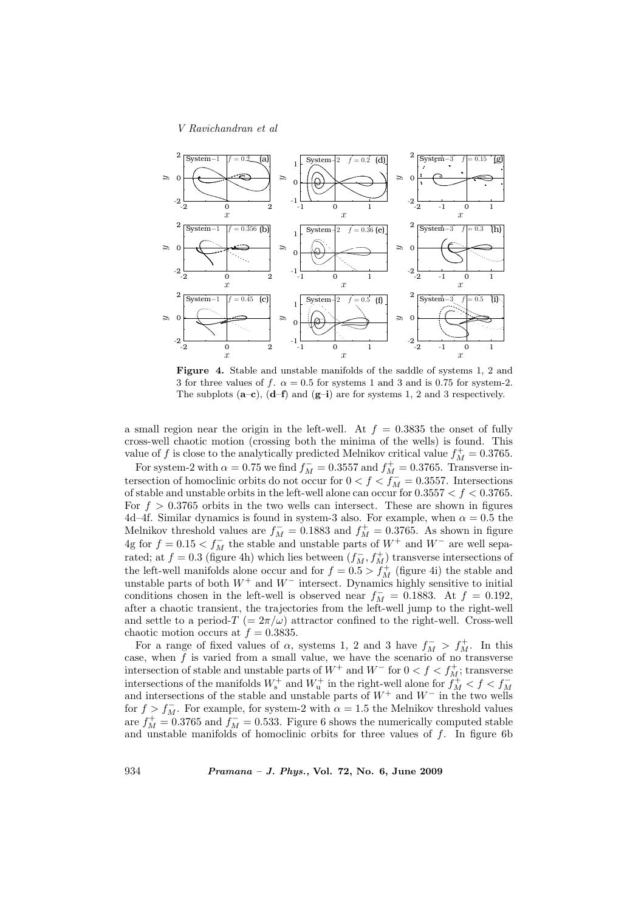

Figure 4. Stable and unstable manifolds of the saddle of systems 1, 2 and 3 for three values of f.  $\alpha = 0.5$  for systems 1 and 3 and is 0.75 for system-2. The subplots  $(a-c)$ ,  $(d-f)$  and  $(g-i)$  are for systems 1, 2 and 3 respectively.

a small region near the origin in the left-well. At  $f = 0.3835$  the onset of fully cross-well chaotic motion (crossing both the minima of the wells) is found. This value of f is close to the analytically predicted Melnikov critical value  $f_M^+ = 0.3765$ .

For system-2 with  $\alpha = 0.75$  we find  $f_M^- = 0.3557$  and  $f_M^+ = 0.3765$ . Transverse intersection of homoclinic orbits do not occur for  $0 < f < f_M^-$  = 0.3557. Intersections of stable and unstable orbits in the left-well alone can occur for  $0.3557 < f < 0.3765$ . For  $f > 0.3765$  orbits in the two wells can intersect. These are shown in figures 4d–4f. Similar dynamics is found in system-3 also. For example, when  $\alpha = 0.5$  the Melnikov threshold values are  $f_M^-$  = 0.1883 and  $f_M^+$  = 0.3765. As shown in figure 4g for  $f = 0.15 < f_M^-$  the stable and unstable parts of  $W^+$  and  $W^-$  are well separated; at  $f = 0.3$  (figure 4h) which lies between  $(f_M^-, f_M^+)$  transverse intersections of the left-well manifolds alone occur and for  $f = 0.5 > f_M^+$  (figure 4i) the stable and unstable parts of both  $W^+$  and  $W^-$  intersect. Dynamics highly sensitive to initial conditions chosen in the left-well is observed near  $f_M^- = 0.1883$ . At  $f = 0.192$ , after a chaotic transient, the trajectories from the left-well jump to the right-well and settle to a period- $T = 2\pi/\omega$ ) attractor confined to the right-well. Cross-well chaotic motion occurs at  $f = 0.3835$ .

For a range of fixed values of  $\alpha$ , systems 1, 2 and 3 have  $f_M^- > f_M^+$ . In this case, when  $\tilde{f}$  is varied from a small value, we have the scenario of no transverse intersection of stable and unstable parts of  $W^+$  and  $W^-$  for  $0 < f < f_M^+$ ; transverse intersections of the manifolds  $W^+_s$  and  $W^+_u$  in the right-well alone for  $\hat{f}^+_M < f < f^-_M$ and intersections of the stable and unstable parts of  $W^+$  and  $W^-$  in the two wells for  $f > f_M^-$ . For example, for system-2 with  $\alpha = 1.5$  the Melnikov threshold values are  $f_M^+ = 0.3765$  and  $f_M^- = 0.533$ . Figure 6 shows the numerically computed stable and unstable manifolds of homoclinic orbits for three values of  $f$ . In figure 6b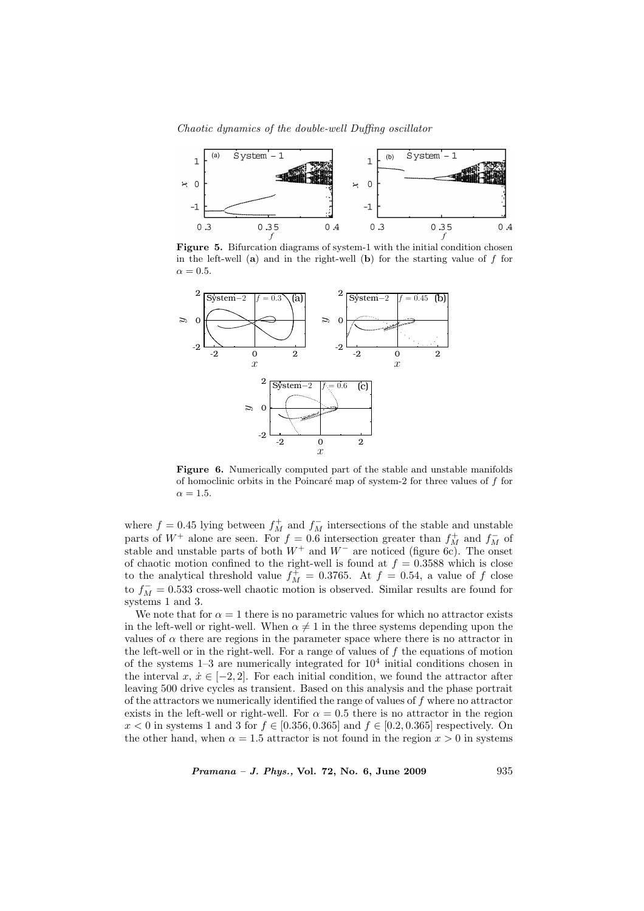Chaotic dynamics of the double-well Duffing oscillator



Figure 5. Bifurcation diagrams of system-1 with the initial condition chosen in the left-well  $(a)$  and in the right-well  $(b)$  for the starting value of f for  $\alpha = 0.5$ .



Figure 6. Numerically computed part of the stable and unstable manifolds of homoclinic orbits in the Poincaré map of system-2 for three values of  $f$  for  $\alpha = 1.5$ .

where  $f = 0.45$  lying between  $f_M^+$  and  $f_M^-$  intersections of the stable and unstable parts of  $W^+$  alone are seen. For  $f = 0.6$  intersection greater than  $f_M^+$  and  $f_M^-$  of stable and unstable parts of both  $W^+$  and  $W^-$  are noticed (figure 6c). The onset of chaotic motion confined to the right-well is found at  $f = 0.3588$  which is close to the analytical threshold value  $f_M^{\pm} = 0.3765$ . At  $f = 0.54$ , a value of f close to  $f_M^-$  = 0.533 cross-well chaotic motion is observed. Similar results are found for systems 1 and 3.

We note that for  $\alpha = 1$  there is no parametric values for which no attractor exists in the left-well or right-well. When  $\alpha \neq 1$  in the three systems depending upon the values of  $\alpha$  there are regions in the parameter space where there is no attractor in the left-well or in the right-well. For a range of values of  $f$  the equations of motion of the systems  $1-3$  are numerically integrated for  $10<sup>4</sup>$  initial conditions chosen in the interval  $x, \, \dot{x} \in [-2, 2]$ . For each initial condition, we found the attractor after leaving 500 drive cycles as transient. Based on this analysis and the phase portrait of the attractors we numerically identified the range of values of  $f$  where no attractor exists in the left-well or right-well. For  $\alpha = 0.5$  there is no attractor in the region  $x < 0$  in systems 1 and 3 for  $f \in [0.356, 0.365]$  and  $f \in [0.2, 0.365]$  respectively. On the other hand, when  $\alpha = 1.5$  attractor is not found in the region  $x > 0$  in systems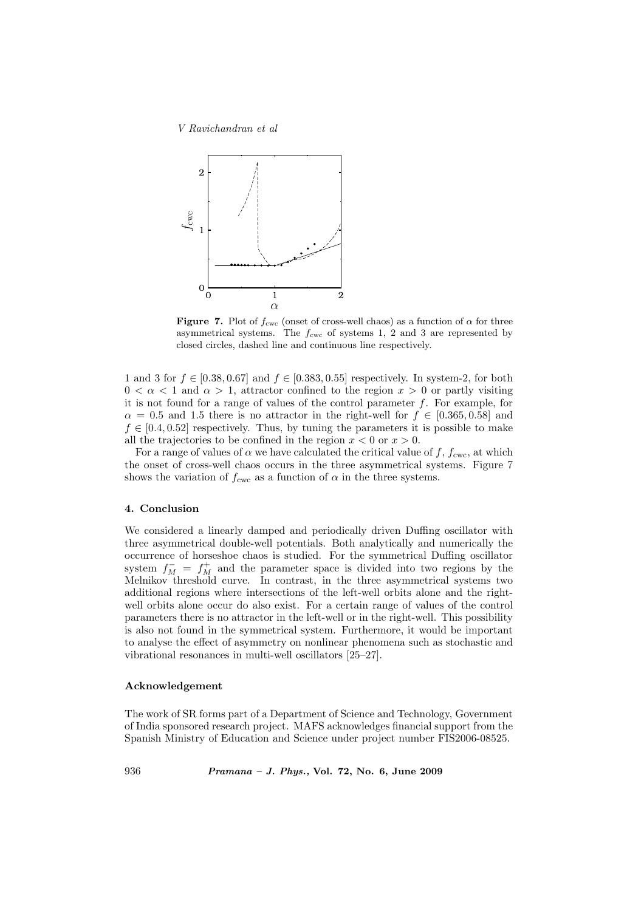

**Figure 7.** Plot of  $f_{\text{cwc}}$  (onset of cross-well chaos) as a function of  $\alpha$  for three asymmetrical systems. The  $f_{\text{cwc}}$  of systems 1, 2 and 3 are represented by closed circles, dashed line and continuous line respectively.

1 and 3 for  $f \in [0.38, 0.67]$  and  $f \in [0.383, 0.55]$  respectively. In system-2, for both  $0 < \alpha < 1$  and  $\alpha > 1$ , attractor confined to the region  $x > 0$  or partly visiting it is not found for a range of values of the control parameter  $f$ . For example, for  $\alpha = 0.5$  and 1.5 there is no attractor in the right-well for  $f \in [0.365, 0.58]$  and  $f \in [0.4, 0.52]$  respectively. Thus, by tuning the parameters it is possible to make all the trajectories to be confined in the region  $x < 0$  or  $x > 0$ .

For a range of values of  $\alpha$  we have calculated the critical value of f,  $f_{\text{cwc}}$ , at which the onset of cross-well chaos occurs in the three asymmetrical systems. Figure 7 shows the variation of  $f_{\text{cwc}}$  as a function of  $\alpha$  in the three systems.

# 4. Conclusion

We considered a linearly damped and periodically driven Duffing oscillator with three asymmetrical double-well potentials. Both analytically and numerically the occurrence of horseshoe chaos is studied. For the symmetrical Duffing oscillator system  $f_M^- = f_M^+$  and the parameter space is divided into two regions by the Melnikov threshold curve. In contrast, in the three asymmetrical systems two additional regions where intersections of the left-well orbits alone and the rightwell orbits alone occur do also exist. For a certain range of values of the control parameters there is no attractor in the left-well or in the right-well. This possibility is also not found in the symmetrical system. Furthermore, it would be important to analyse the effect of asymmetry on nonlinear phenomena such as stochastic and vibrational resonances in multi-well oscillators [25–27].

## Acknowledgement

The work of SR forms part of a Department of Science and Technology, Government of India sponsored research project. MAFS acknowledges financial support from the Spanish Ministry of Education and Science under project number FIS2006-08525.